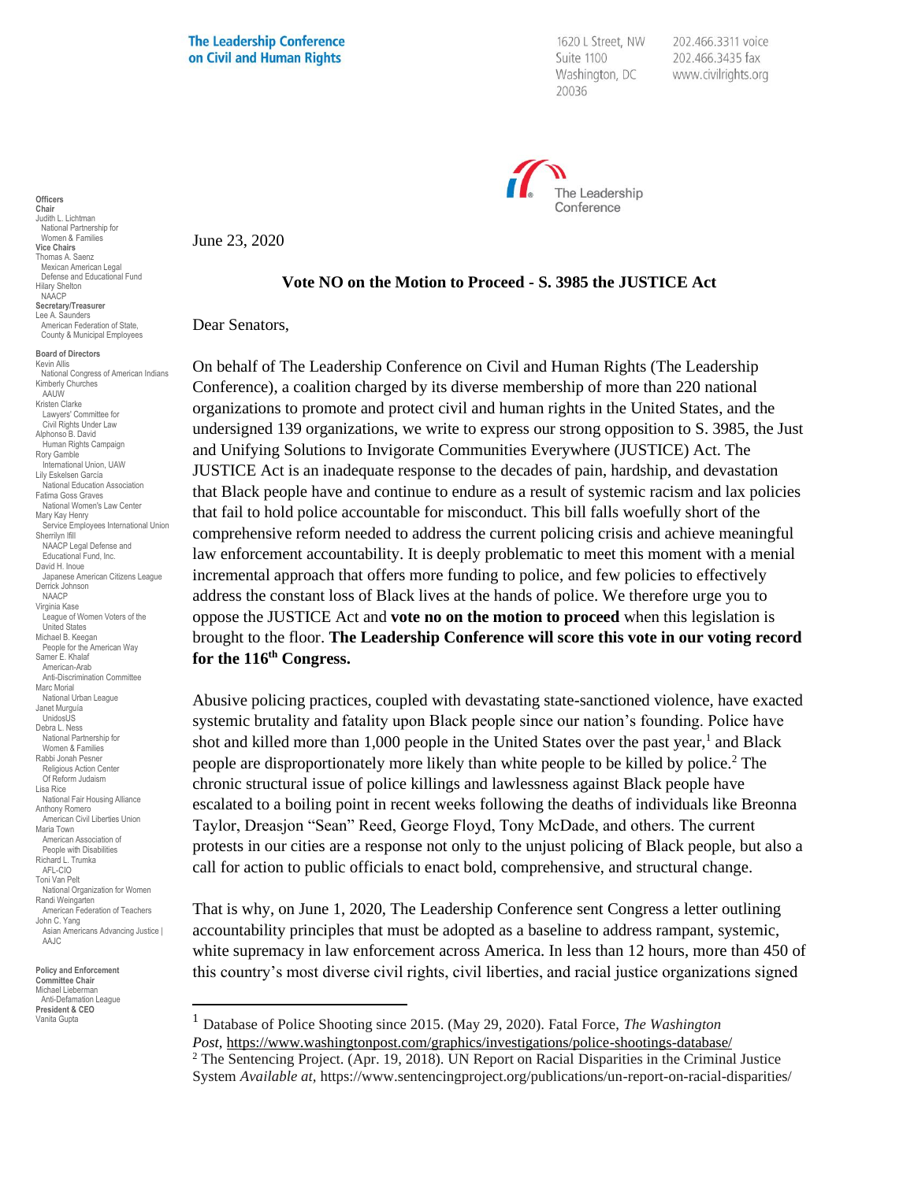**The Leadership Conference** on Civil and Human Rights

1620 L Street, NW Suite 1100 Washington, DC 20036

202.466.3311 voice 202.466.3435 fax www.civilrights.org



**Officers Chair** Judith L. Lichtman National Partnership for Women & Families **Vice Chairs** Thomas A. Saenz Mexican American Legal Defense and Educational Fund Hilary Shelton NAACP **Secretary/Treasurer** Lee A. Saunders American Federation of State, County & Municipal Employees

**Board of Directors** Kevin Allis National Congress of American Indians Kimberly Churches AAUW Kristen Clarke Lawyers' Committee for Civil Rights Under Law Alphonso B. David Human Rights Campaign Rory Gamble International Union, UAW Lily Eskelsen García National Education Association Fatima Goss Graves National Women's Law Center Mary Kay Henry Service Employees International Union Sherrilyn Ifill NAACP Legal Defense and Educational Fund, Inc. David H. Inoue Japanese American Citizens League Derrick Johnson NAACP Virginia Kase League of Women Voters of the United States Michael B. Keegan People for the American Way Samer E. Khalaf American-Arab Anti-Discrimination Committee Marc Morial National Urban League Janet Murguía UnidosUS Debra L. Ness National Partnership for Women & Families Rabbi Jonah Pesner Religious Action Center Of Reform Judaism Lisa Rice National Fair Housing Alliance Anthony Romero American Civil Liberties Union Maria Town American Association of People with Disabilities Richard L. Trumka AFL-CIO Toni Van Pelt National Organization for Women Randi Weingarten American Federation of Teachers John C. Yang Asian Americans Advancing Justice I AAJC

**Policy and Enforcement Committee Chair** Michael Lieberman Anti-Defamation League **President & CEO** Vanita Gupta

June 23, 2020

## **Vote NO on the Motion to Proceed - S. 3985 the JUSTICE Act**

Dear Senators,

On behalf of The Leadership Conference on Civil and Human Rights (The Leadership Conference), a coalition charged by its diverse membership of more than 220 national organizations to promote and protect civil and human rights in the United States, and the undersigned 139 organizations, we write to express our strong opposition to S. 3985, the Just and Unifying Solutions to Invigorate Communities Everywhere (JUSTICE) Act. The JUSTICE Act is an inadequate response to the decades of pain, hardship, and devastation that Black people have and continue to endure as a result of systemic racism and lax policies that fail to hold police accountable for misconduct. This bill falls woefully short of the comprehensive reform needed to address the current policing crisis and achieve meaningful law enforcement accountability. It is deeply problematic to meet this moment with a menial incremental approach that offers more funding to police, and few policies to effectively address the constant loss of Black lives at the hands of police. We therefore urge you to oppose the JUSTICE Act and **vote no on the motion to proceed** when this legislation is brought to the floor. **The Leadership Conference will score this vote in our voting record for the 116th Congress.**

Abusive policing practices, coupled with devastating state-sanctioned violence, have exacted systemic brutality and fatality upon Black people since our nation's founding. Police have shot and killed more than  $1,000$  people in the United States over the past year,<sup>1</sup> and Black people are disproportionately more likely than white people to be killed by police.<sup>2</sup> The chronic structural issue of police killings and lawlessness against Black people have escalated to a boiling point in recent weeks following the deaths of individuals like Breonna Taylor, Dreasjon "Sean" Reed, George Floyd, Tony McDade, and others. The current protests in our cities are a response not only to the unjust policing of Black people, but also a call for action to public officials to enact bold, comprehensive, and structural change.

That is why, on June 1, 2020, The Leadership Conference sent Congress a letter outlining accountability principles that must be adopted as a baseline to address rampant, systemic, white supremacy in law enforcement across America. In less than 12 hours, more than 450 of this country's most diverse civil rights, civil liberties, and racial justice organizations signed

<sup>1</sup> Database of Police Shooting since 2015. (May 29, 2020). Fatal Force, *The Washington Post,* <https://www.washingtonpost.com/graphics/investigations/police-shootings-database/>

<sup>&</sup>lt;sup>2</sup> The Sentencing Project. (Apr. 19, 2018). UN Report on Racial Disparities in the Criminal Justice System *Available at,* https://www.sentencingproject.org/publications/un-report-on-racial-disparities/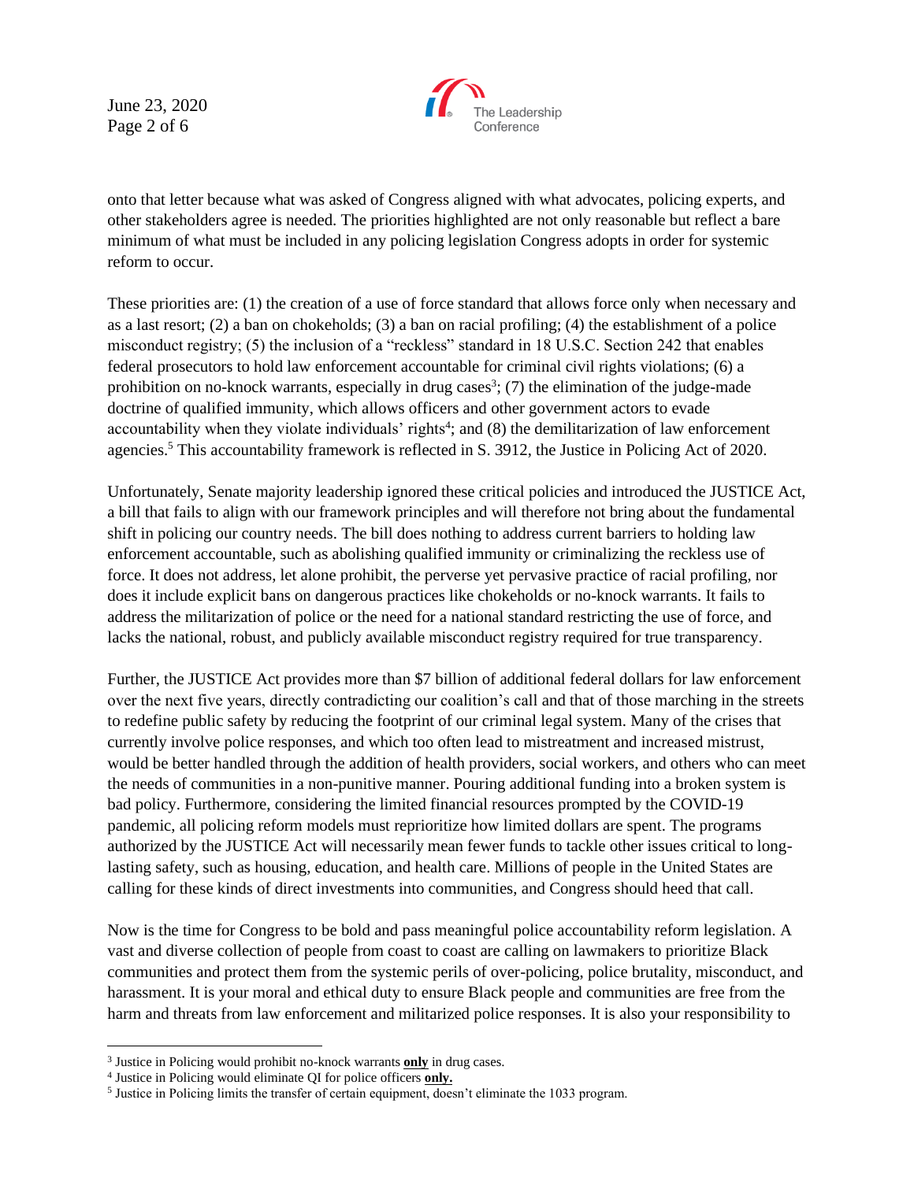June 23, 2020 Page 2 of 6



onto that letter because what was asked of Congress aligned with what advocates, policing experts, and other stakeholders agree is needed. The priorities highlighted are not only reasonable but reflect a bare minimum of what must be included in any policing legislation Congress adopts in order for systemic reform to occur.

These priorities are: (1) the creation of a use of force standard that allows force only when necessary and as a last resort; (2) a ban on chokeholds; (3) a ban on racial profiling; (4) the establishment of a police misconduct registry; (5) the inclusion of a "reckless" standard in 18 U.S.C. Section 242 that enables federal prosecutors to hold law enforcement accountable for criminal civil rights violations; (6) a prohibition on no-knock warrants, especially in drug cases<sup>3</sup>; (7) the elimination of the judge-made doctrine of qualified immunity, which allows officers and other government actors to evade accountability when they violate individuals' rights<sup>4</sup>; and (8) the demilitarization of law enforcement agencies.<sup>5</sup> This accountability framework is reflected in S. 3912, the Justice in Policing Act of 2020.

Unfortunately, Senate majority leadership ignored these critical policies and introduced the JUSTICE Act, a bill that fails to align with our framework principles and will therefore not bring about the fundamental shift in policing our country needs. The bill does nothing to address current barriers to holding law enforcement accountable, such as abolishing qualified immunity or criminalizing the reckless use of force. It does not address, let alone prohibit, the perverse yet pervasive practice of racial profiling, nor does it include explicit bans on dangerous practices like chokeholds or no-knock warrants. It fails to address the militarization of police or the need for a national standard restricting the use of force, and lacks the national, robust, and publicly available misconduct registry required for true transparency.

Further, the JUSTICE Act provides more than \$7 billion of additional federal dollars for law enforcement over the next five years, directly contradicting our coalition's call and that of those marching in the streets to redefine public safety by reducing the footprint of our criminal legal system. Many of the crises that currently involve police responses, and which too often lead to mistreatment and increased mistrust, would be better handled through the addition of health providers, social workers, and others who can meet the needs of communities in a non-punitive manner. Pouring additional funding into a broken system is bad policy. Furthermore, considering the limited financial resources prompted by the COVID-19 pandemic, all policing reform models must reprioritize how limited dollars are spent. The programs authorized by the JUSTICE Act will necessarily mean fewer funds to tackle other issues critical to longlasting safety, such as housing, education, and health care. Millions of people in the United States are calling for these kinds of direct investments into communities, and Congress should heed that call.

Now is the time for Congress to be bold and pass meaningful police accountability reform legislation. A vast and diverse collection of people from coast to coast are calling on lawmakers to prioritize Black communities and protect them from the systemic perils of over-policing, police brutality, misconduct, and harassment. It is your moral and ethical duty to ensure Black people and communities are free from the harm and threats from law enforcement and militarized police responses. It is also your responsibility to

<sup>3</sup> Justice in Policing would prohibit no-knock warrants **only** in drug cases.

<sup>4</sup> Justice in Policing would eliminate QI for police officers **only.**

<sup>&</sup>lt;sup>5</sup> Justice in Policing limits the transfer of certain equipment, doesn't eliminate the 1033 program.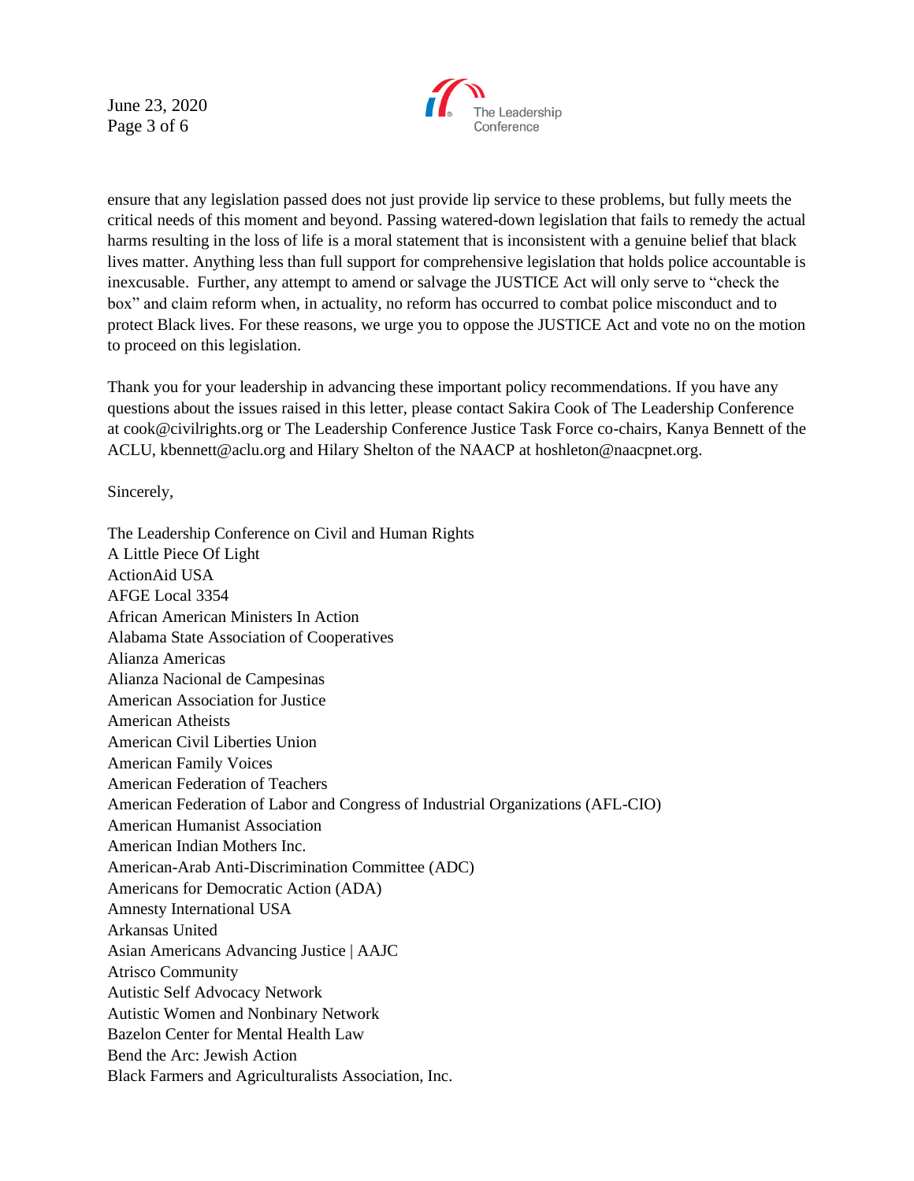June 23, 2020 Page 3 of 6



ensure that any legislation passed does not just provide lip service to these problems, but fully meets the critical needs of this moment and beyond. Passing watered-down legislation that fails to remedy the actual harms resulting in the loss of life is a moral statement that is inconsistent with a genuine belief that black lives matter. Anything less than full support for comprehensive legislation that holds police accountable is inexcusable. Further, any attempt to amend or salvage the JUSTICE Act will only serve to "check the box" and claim reform when, in actuality, no reform has occurred to combat police misconduct and to protect Black lives. For these reasons, we urge you to oppose the JUSTICE Act and vote no on the motion to proceed on this legislation.

Thank you for your leadership in advancing these important policy recommendations. If you have any questions about the issues raised in this letter, please contact Sakira Cook of The Leadership Conference at cook@civilrights.org or The Leadership Conference Justice Task Force co-chairs, Kanya Bennett of the ACLU, [kbennett@aclu.org](mailto:kbennett@aclu.org) and Hilary Shelton of the NAACP at hoshleton@naacpnet.org.

Sincerely,

The Leadership Conference on Civil and Human Rights A Little Piece Of Light ActionAid USA AFGE Local 3354 African American Ministers In Action Alabama State Association of Cooperatives Alianza Americas Alianza Nacional de Campesinas American Association for Justice American Atheists American Civil Liberties Union American Family Voices American Federation of Teachers American Federation of Labor and Congress of Industrial Organizations (AFL-CIO) American Humanist Association American Indian Mothers Inc. American-Arab Anti-Discrimination Committee (ADC) Americans for Democratic Action (ADA) Amnesty International USA Arkansas United Asian Americans Advancing Justice | AAJC Atrisco Community Autistic Self Advocacy Network Autistic Women and Nonbinary Network Bazelon Center for Mental Health Law Bend the Arc: Jewish Action Black Farmers and Agriculturalists Association, Inc.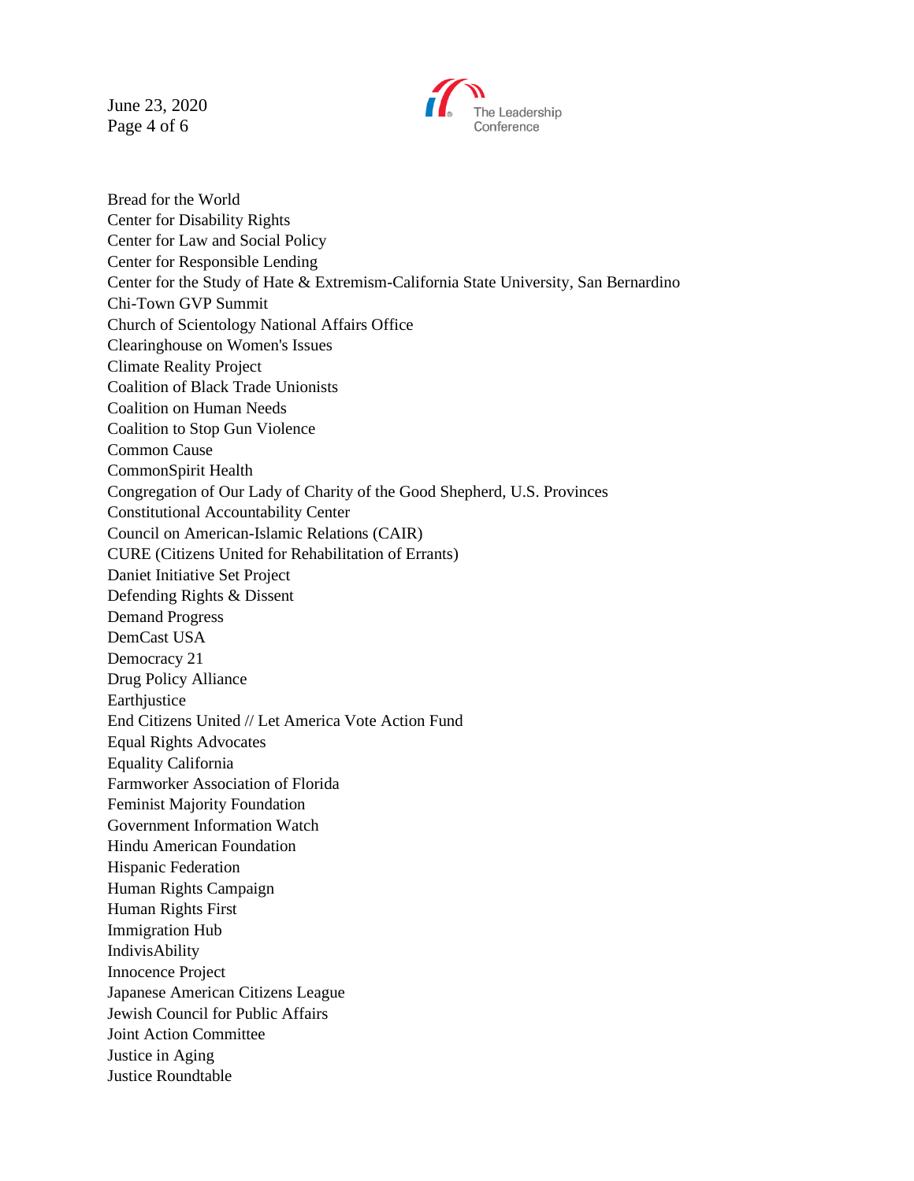June 23, 2020 Page 4 of 6



Bread for the World Center for Disability Rights Center for Law and Social Policy Center for Responsible Lending Center for the Study of Hate & Extremism-California State University, San Bernardino Chi-Town GVP Summit Church of Scientology National Affairs Office Clearinghouse on Women's Issues Climate Reality Project Coalition of Black Trade Unionists Coalition on Human Needs Coalition to Stop Gun Violence Common Cause CommonSpirit Health Congregation of Our Lady of Charity of the Good Shepherd, U.S. Provinces Constitutional Accountability Center Council on American-Islamic Relations (CAIR) CURE (Citizens United for Rehabilitation of Errants) Daniet Initiative Set Project Defending Rights & Dissent Demand Progress DemCast USA Democracy 21 Drug Policy Alliance Earthjustice End Citizens United // Let America Vote Action Fund Equal Rights Advocates Equality California Farmworker Association of Florida Feminist Majority Foundation Government Information Watch Hindu American Foundation Hispanic Federation Human Rights Campaign Human Rights First Immigration Hub IndivisAbility Innocence Project Japanese American Citizens League Jewish Council for Public Affairs Joint Action Committee Justice in Aging Justice Roundtable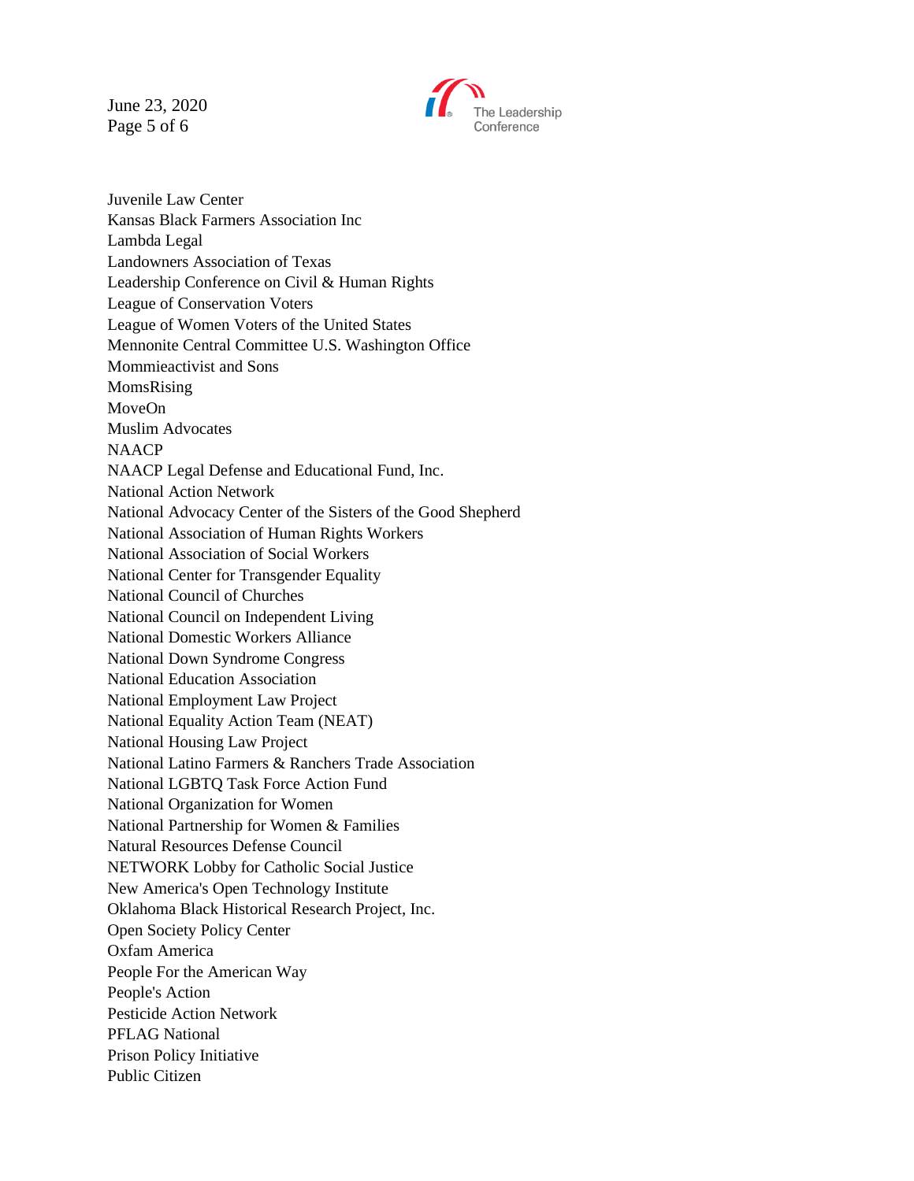June 23, 2020 Page 5 of 6



Juvenile Law Center Kansas Black Farmers Association Inc Lambda Legal Landowners Association of Texas Leadership Conference on Civil & Human Rights League of Conservation Voters League of Women Voters of the United States Mennonite Central Committee U.S. Washington Office Mommieactivist and Sons MomsRising MoveOn Muslim Advocates NAACP NAACP Legal Defense and Educational Fund, Inc. National Action Network National Advocacy Center of the Sisters of the Good Shepherd National Association of Human Rights Workers National Association of Social Workers National Center for Transgender Equality National Council of Churches National Council on Independent Living National Domestic Workers Alliance National Down Syndrome Congress National Education Association National Employment Law Project National Equality Action Team (NEAT) National Housing Law Project National Latino Farmers & Ranchers Trade Association National LGBTQ Task Force Action Fund National Organization for Women National Partnership for Women & Families Natural Resources Defense Council NETWORK Lobby for Catholic Social Justice New America's Open Technology Institute Oklahoma Black Historical Research Project, Inc. Open Society Policy Center Oxfam America People For the American Way People's Action Pesticide Action Network PFLAG National Prison Policy Initiative Public Citizen